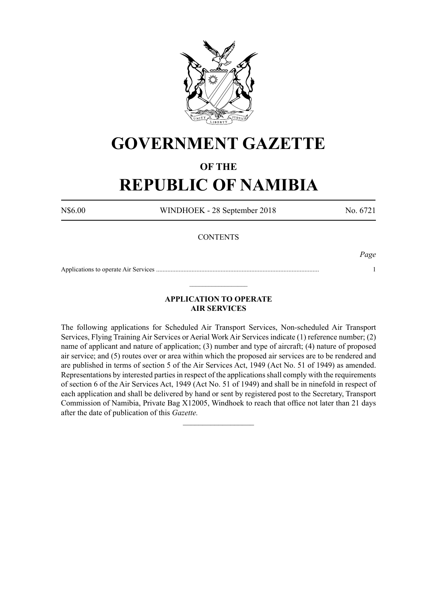

# **GOVERNMENT GAZETTE**

## **OF THE**

# **REPUBLIC OF NAMIBIA**

N\$6.00 WINDHOEK - 28 September 2018 No. 6721

### **CONTENTS**

*Page*

Applications to operate Air Services ..................................................................................................... 1  $\_$ 

### **APPLICATION TO OPERATE AIR SERVICES**

The following applications for Scheduled Air Transport Services, Non-scheduled Air Transport Services, Flying Training Air Services or Aerial Work Air Services indicate (1) reference number; (2) name of applicant and nature of application; (3) number and type of aircraft; (4) nature of proposed air service; and (5) routes over or area within which the proposed air services are to be rendered and are published in terms of section 5 of the Air Services Act, 1949 (Act No. 51 of 1949) as amended. Representations by interested parties in respect of the applications shall comply with the requirements of section 6 of the Air Services Act, 1949 (Act No. 51 of 1949) and shall be in ninefold in respect of each application and shall be delivered by hand or sent by registered post to the Secretary, Transport Commission of Namibia, Private Bag X12005, Windhoek to reach that office not later than 21 days after the date of publication of this *Gazette.*

 $\frac{1}{2}$  ,  $\frac{1}{2}$  ,  $\frac{1}{2}$  ,  $\frac{1}{2}$  ,  $\frac{1}{2}$  ,  $\frac{1}{2}$  ,  $\frac{1}{2}$  ,  $\frac{1}{2}$  ,  $\frac{1}{2}$  ,  $\frac{1}{2}$  ,  $\frac{1}{2}$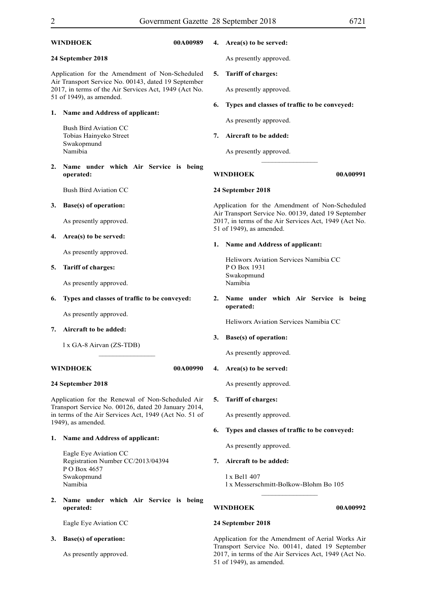| 00A00989<br>WINDHOEK                                                                                                                                                                       |                                                            |                                                    | 4. Area(s) to be served:                                                                                 |                                                       |  |
|--------------------------------------------------------------------------------------------------------------------------------------------------------------------------------------------|------------------------------------------------------------|----------------------------------------------------|----------------------------------------------------------------------------------------------------------|-------------------------------------------------------|--|
| 24 September 2018                                                                                                                                                                          |                                                            |                                                    | As presently approved.                                                                                   |                                                       |  |
| Application for the Amendment of Non-Scheduled<br>Air Transport Service No. 00143, dated 19 September<br>2017, in terms of the Air Services Act, 1949 (Act No.<br>51 of 1949), as amended. |                                                            | 5.                                                 | <b>Tariff of charges:</b>                                                                                |                                                       |  |
|                                                                                                                                                                                            |                                                            |                                                    | As presently approved.                                                                                   |                                                       |  |
| Name and Address of applicant:<br>1.                                                                                                                                                       |                                                            | 6.                                                 | Types and classes of traffic to be conveyed:                                                             |                                                       |  |
|                                                                                                                                                                                            | <b>Bush Bird Aviation CC</b>                               |                                                    |                                                                                                          | As presently approved.                                |  |
|                                                                                                                                                                                            | Tobias Hainyeko Street                                     |                                                    |                                                                                                          | Aircraft to be added:                                 |  |
|                                                                                                                                                                                            | Swakopmund<br>Namibia                                      |                                                    |                                                                                                          | As presently approved.                                |  |
| 2.                                                                                                                                                                                         | Name under which Air Service is being<br>operated:         |                                                    |                                                                                                          | <b>WINDHOEK</b><br>00A00991                           |  |
|                                                                                                                                                                                            | <b>Bush Bird Aviation CC</b>                               |                                                    |                                                                                                          | 24 September 2018                                     |  |
| 3.                                                                                                                                                                                         | <b>Base(s)</b> of operation:                               |                                                    | Application for the Amendment of Non-Scheduled<br>Air Transport Service No. 00139, dated 19 September    |                                                       |  |
|                                                                                                                                                                                            | As presently approved.                                     |                                                    | 2017, in terms of the Air Services Act, 1949 (Act No.<br>51 of 1949), as amended.                        |                                                       |  |
| 4.                                                                                                                                                                                         | Area(s) to be served:                                      |                                                    |                                                                                                          | 1. Name and Address of applicant:                     |  |
|                                                                                                                                                                                            | As presently approved.                                     |                                                    |                                                                                                          | Heliworx Aviation Services Namibia CC                 |  |
| 5.                                                                                                                                                                                         | <b>Tariff of charges:</b>                                  |                                                    |                                                                                                          | PO Box 1931<br>Swakopmund                             |  |
|                                                                                                                                                                                            | As presently approved.                                     |                                                    | Namibia                                                                                                  |                                                       |  |
| 6.                                                                                                                                                                                         | Types and classes of traffic to be conveyed:               |                                                    |                                                                                                          | 2. Name under which Air Service is being<br>operated: |  |
|                                                                                                                                                                                            | As presently approved.                                     |                                                    |                                                                                                          | Heliworx Aviation Services Namibia CC                 |  |
| 7.                                                                                                                                                                                         | Aircraft to be added:<br>1 x GA-8 Airvan (ZS-TDB)          |                                                    |                                                                                                          | 3.<br>Base(s) of operation:                           |  |
|                                                                                                                                                                                            |                                                            |                                                    |                                                                                                          | As presently approved.                                |  |
| WINDHOEK<br>00A00990                                                                                                                                                                       |                                                            |                                                    | 4. Area(s) to be served:                                                                                 |                                                       |  |
| 24 September 2018                                                                                                                                                                          |                                                            |                                                    |                                                                                                          | As presently approved.                                |  |
| Application for the Renewal of Non-Scheduled Air<br>Transport Service No. 00126, dated 20 January 2014,<br>in terms of the Air Services Act, 1949 (Act No. 51 of                           |                                                            |                                                    | 5.                                                                                                       | <b>Tariff of charges:</b>                             |  |
|                                                                                                                                                                                            |                                                            |                                                    |                                                                                                          | As presently approved.                                |  |
| 1949), as amended.                                                                                                                                                                         |                                                            | Types and classes of traffic to be conveyed:<br>6. |                                                                                                          |                                                       |  |
| 1.                                                                                                                                                                                         | Name and Address of applicant:                             |                                                    |                                                                                                          | As presently approved.                                |  |
|                                                                                                                                                                                            | Eagle Eye Aviation CC<br>Registration Number CC/2013/04394 |                                                    |                                                                                                          | Aircraft to be added:                                 |  |
|                                                                                                                                                                                            | PO Box 4657<br>Swakopmund<br>Namibia                       |                                                    |                                                                                                          | 1 x Bel1 407<br>1 x Messerschmitt-Bolkow-Blohm Bo 105 |  |
| 2.                                                                                                                                                                                         | Name under which Air Service is being<br>operated:         |                                                    |                                                                                                          | WINDHOEK<br>00A00992                                  |  |
|                                                                                                                                                                                            | Eagle Eye Aviation CC                                      |                                                    |                                                                                                          | 24 September 2018                                     |  |
| 3.                                                                                                                                                                                         | <b>Base(s)</b> of operation:                               |                                                    |                                                                                                          | Application for the Amendment of Aerial Works Air     |  |
|                                                                                                                                                                                            | As presently approved.                                     |                                                    | Transport Service No. 00141, dated 19 September<br>2017, in terms of the Air Services Act, 1949 (Act No. |                                                       |  |

51 of 1949), as amended.